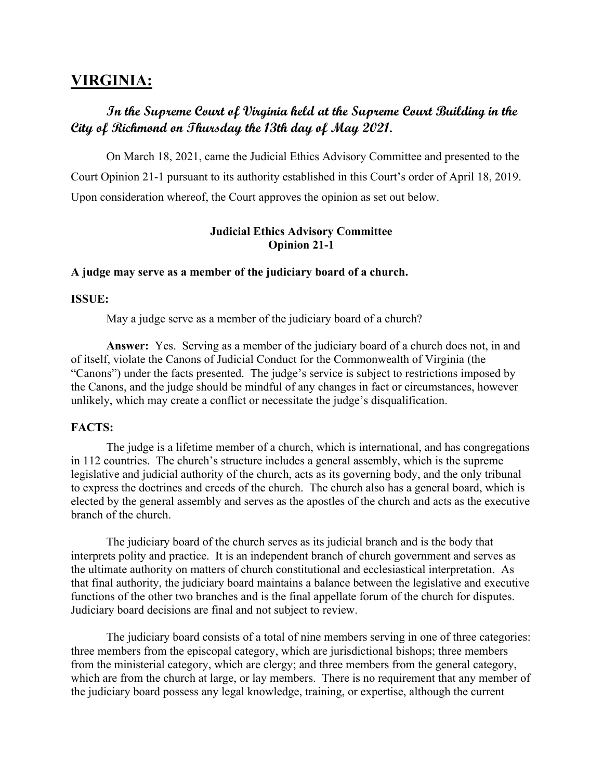# **VIRGINIA:**

# **In the Supreme Court of Virginia held at the Supreme Court Building in the City of Richmond on Thursday the 13th day of May 2021.**

 On March 18, 2021, came the Judicial Ethics Advisory Committee and presented to the Court Opinion 21-1 pursuant to its authority established in this Court's order of April 18, 2019. Upon consideration whereof, the Court approves the opinion as set out below.

## **Judicial Ethics Advisory Committee Opinion 21-1**

#### **A judge may serve as a member of the judiciary board of a church.**

#### **ISSUE:**

May a judge serve as a member of the judiciary board of a church?

 **Answer:** Yes. Serving as a member of the judiciary board of a church does not, in and of itself, violate the Canons of Judicial Conduct for the Commonwealth of Virginia (the "Canons") under the facts presented. The judge's service is subject to restrictions imposed by the Canons, and the judge should be mindful of any changes in fact or circumstances, however unlikely, which may create a conflict or necessitate the judge's disqualification.

#### **FACTS:**

The judge is a lifetime member of a church, which is international, and has congregations in 112 countries. The church's structure includes a general assembly, which is the supreme legislative and judicial authority of the church, acts as its governing body, and the only tribunal to express the doctrines and creeds of the church. The church also has a general board, which is elected by the general assembly and serves as the apostles of the church and acts as the executive branch of the church.

The judiciary board of the church serves as its judicial branch and is the body that interprets polity and practice. It is an independent branch of church government and serves as the ultimate authority on matters of church constitutional and ecclesiastical interpretation. As that final authority, the judiciary board maintains a balance between the legislative and executive functions of the other two branches and is the final appellate forum of the church for disputes. Judiciary board decisions are final and not subject to review.

The judiciary board consists of a total of nine members serving in one of three categories: three members from the episcopal category, which are jurisdictional bishops; three members from the ministerial category, which are clergy; and three members from the general category, which are from the church at large, or lay members. There is no requirement that any member of the judiciary board possess any legal knowledge, training, or expertise, although the current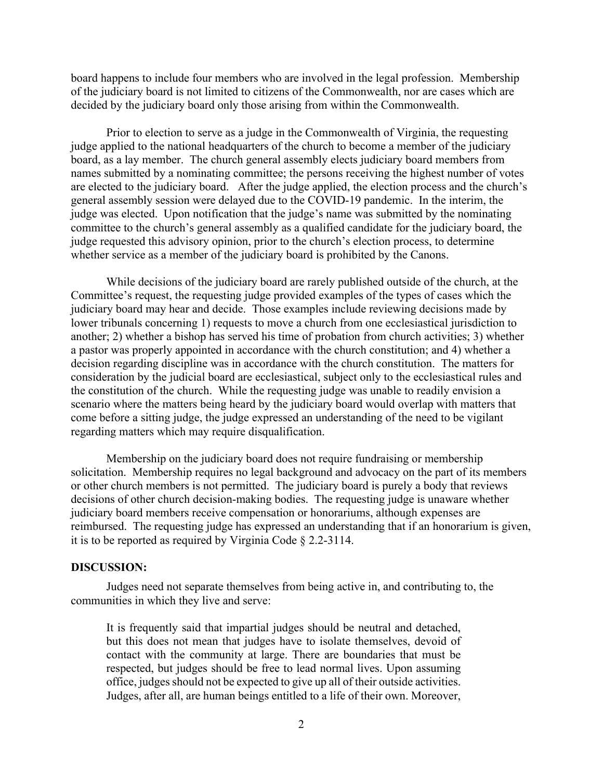board happens to include four members who are involved in the legal profession. Membership of the judiciary board is not limited to citizens of the Commonwealth, nor are cases which are decided by the judiciary board only those arising from within the Commonwealth.

Prior to election to serve as a judge in the Commonwealth of Virginia, the requesting judge applied to the national headquarters of the church to become a member of the judiciary board, as a lay member. The church general assembly elects judiciary board members from names submitted by a nominating committee; the persons receiving the highest number of votes are elected to the judiciary board. After the judge applied, the election process and the church's general assembly session were delayed due to the COVID-19 pandemic. In the interim, the judge was elected. Upon notification that the judge's name was submitted by the nominating committee to the church's general assembly as a qualified candidate for the judiciary board, the judge requested this advisory opinion, prior to the church's election process, to determine whether service as a member of the judiciary board is prohibited by the Canons.

While decisions of the judiciary board are rarely published outside of the church, at the Committee's request, the requesting judge provided examples of the types of cases which the judiciary board may hear and decide. Those examples include reviewing decisions made by lower tribunals concerning 1) requests to move a church from one ecclesiastical jurisdiction to another; 2) whether a bishop has served his time of probation from church activities; 3) whether a pastor was properly appointed in accordance with the church constitution; and 4) whether a decision regarding discipline was in accordance with the church constitution. The matters for consideration by the judicial board are ecclesiastical, subject only to the ecclesiastical rules and the constitution of the church. While the requesting judge was unable to readily envision a scenario where the matters being heard by the judiciary board would overlap with matters that come before a sitting judge, the judge expressed an understanding of the need to be vigilant regarding matters which may require disqualification.

Membership on the judiciary board does not require fundraising or membership solicitation. Membership requires no legal background and advocacy on the part of its members or other church members is not permitted. The judiciary board is purely a body that reviews decisions of other church decision-making bodies. The requesting judge is unaware whether judiciary board members receive compensation or honorariums, although expenses are reimbursed. The requesting judge has expressed an understanding that if an honorarium is given, it is to be reported as required by Virginia Code § 2.2-3114.

#### **DISCUSSION:**

Judges need not separate themselves from being active in, and contributing to, the communities in which they live and serve:

It is frequently said that impartial judges should be neutral and detached, but this does not mean that judges have to isolate themselves, devoid of contact with the community at large. There are boundaries that must be respected, but judges should be free to lead normal lives. Upon assuming office, judges should not be expected to give up all of their outside activities. Judges, after all, are human beings entitled to a life of their own. Moreover,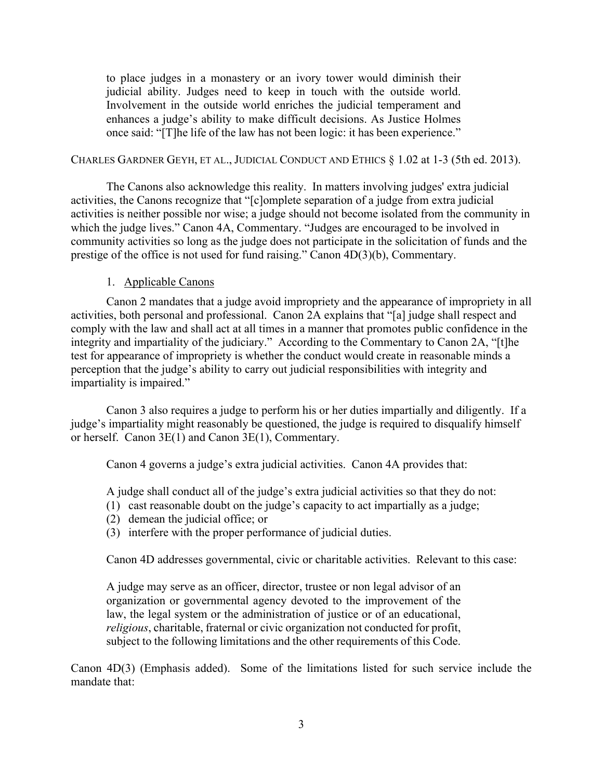to place judges in a monastery or an ivory tower would diminish their judicial ability. Judges need to keep in touch with the outside world. Involvement in the outside world enriches the judicial temperament and enhances a judge's ability to make difficult decisions. As Justice Holmes once said: "[T]he life of the law has not been logic: it has been experience."

#### CHARLES GARDNER GEYH, ET AL., JUDICIAL CONDUCT AND ETHICS § 1.02 at 1-3 (5th ed. 2013).

The Canons also acknowledge this reality. In matters involving judges' extra judicial activities, the Canons recognize that "[c]omplete separation of a judge from extra judicial activities is neither possible nor wise; a judge should not become isolated from the community in which the judge lives." Canon 4A, Commentary. "Judges are encouraged to be involved in community activities so long as the judge does not participate in the solicitation of funds and the prestige of the office is not used for fund raising." Canon 4D(3)(b), Commentary.

### 1. Applicable Canons

Canon 2 mandates that a judge avoid impropriety and the appearance of impropriety in all activities, both personal and professional. Canon 2A explains that "[a] judge shall respect and comply with the law and shall act at all times in a manner that promotes public confidence in the integrity and impartiality of the judiciary." According to the Commentary to Canon 2A, "[t]he test for appearance of impropriety is whether the conduct would create in reasonable minds a perception that the judge's ability to carry out judicial responsibilities with integrity and impartiality is impaired."

Canon 3 also requires a judge to perform his or her duties impartially and diligently. If a judge's impartiality might reasonably be questioned, the judge is required to disqualify himself or herself. Canon 3E(1) and Canon 3E(1), Commentary.

Canon 4 governs a judge's extra judicial activities. Canon 4A provides that:

A judge shall conduct all of the judge's extra judicial activities so that they do not:

- (1) cast reasonable doubt on the judge's capacity to act impartially as a judge;
- (2) demean the judicial office; or
- (3) interfere with the proper performance of judicial duties.

Canon 4D addresses governmental, civic or charitable activities. Relevant to this case:

A judge may serve as an officer, director, trustee or non legal advisor of an organization or governmental agency devoted to the improvement of the law, the legal system or the administration of justice or of an educational, *religious*, charitable, fraternal or civic organization not conducted for profit, subject to the following limitations and the other requirements of this Code.

Canon 4D(3) (Emphasis added). Some of the limitations listed for such service include the mandate that: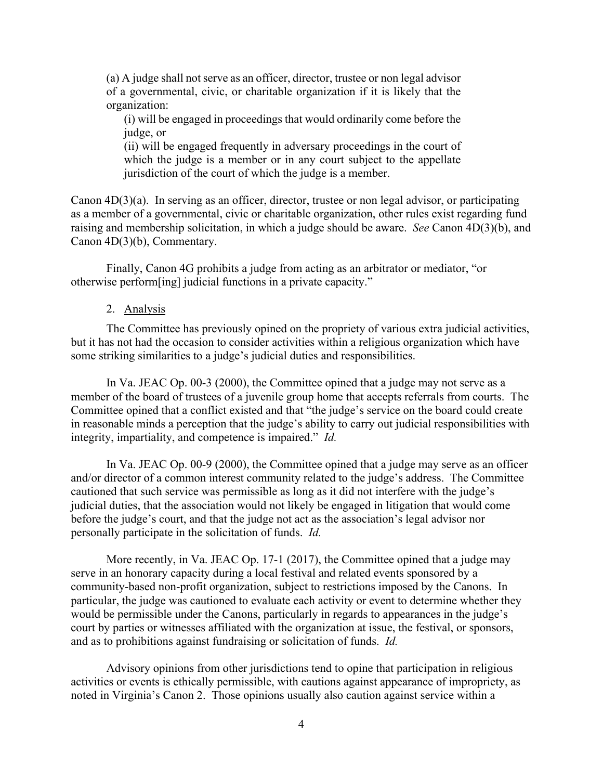(a) A judge shall not serve as an officer, director, trustee or non legal advisor of a governmental, civic, or charitable organization if it is likely that the organization:

(i) will be engaged in proceedings that would ordinarily come before the judge, or

(ii) will be engaged frequently in adversary proceedings in the court of which the judge is a member or in any court subject to the appellate jurisdiction of the court of which the judge is a member.

Canon  $4D(3)(a)$ . In serving as an officer, director, trustee or non legal advisor, or participating as a member of a governmental, civic or charitable organization, other rules exist regarding fund raising and membership solicitation, in which a judge should be aware. *See* Canon 4D(3)(b), and Canon 4D(3)(b), Commentary.

Finally, Canon 4G prohibits a judge from acting as an arbitrator or mediator, "or otherwise perform[ing] judicial functions in a private capacity."

#### 2. Analysis

The Committee has previously opined on the propriety of various extra judicial activities, but it has not had the occasion to consider activities within a religious organization which have some striking similarities to a judge's judicial duties and responsibilities.

In Va. JEAC Op. 00-3 (2000), the Committee opined that a judge may not serve as a member of the board of trustees of a juvenile group home that accepts referrals from courts. The Committee opined that a conflict existed and that "the judge's service on the board could create in reasonable minds a perception that the judge's ability to carry out judicial responsibilities with integrity, impartiality, and competence is impaired." *Id.* 

In Va. JEAC Op. 00-9 (2000), the Committee opined that a judge may serve as an officer and/or director of a common interest community related to the judge's address. The Committee cautioned that such service was permissible as long as it did not interfere with the judge's judicial duties, that the association would not likely be engaged in litigation that would come before the judge's court, and that the judge not act as the association's legal advisor nor personally participate in the solicitation of funds. *Id.* 

More recently, in Va. JEAC Op. 17-1 (2017), the Committee opined that a judge may serve in an honorary capacity during a local festival and related events sponsored by a community-based non-profit organization, subject to restrictions imposed by the Canons. In particular, the judge was cautioned to evaluate each activity or event to determine whether they would be permissible under the Canons, particularly in regards to appearances in the judge's court by parties or witnesses affiliated with the organization at issue, the festival, or sponsors, and as to prohibitions against fundraising or solicitation of funds. *Id.* 

Advisory opinions from other jurisdictions tend to opine that participation in religious activities or events is ethically permissible, with cautions against appearance of impropriety, as noted in Virginia's Canon 2. Those opinions usually also caution against service within a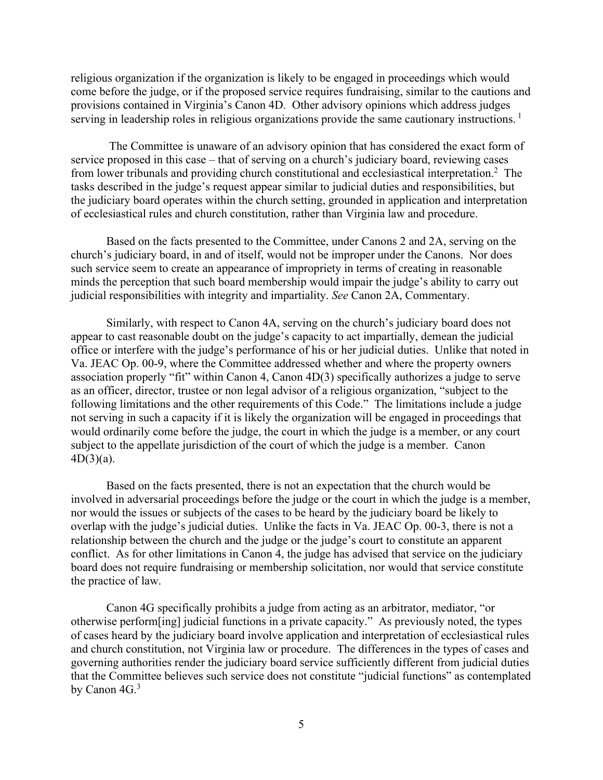religious organization if the organization is likely to be engaged in proceedings which would come before the judge, or if the proposed service requires fundraising, similar to the cautions and provisions contained in Virginia's Canon 4D. Other advisory opinions which address judges serving in leadership roles in religious organizations provide the same cautionary instructions.<sup>1</sup>

 The Committee is unaware of an advisory opinion that has considered the exact form of service proposed in this case – that of serving on a church's judiciary board, reviewing cases from lower tribunals and providing church constitutional and ecclesiastical interpretation.<sup>2</sup> The tasks described in the judge's request appear similar to judicial duties and responsibilities, but the judiciary board operates within the church setting, grounded in application and interpretation of ecclesiastical rules and church constitution, rather than Virginia law and procedure.

Based on the facts presented to the Committee, under Canons 2 and 2A, serving on the church's judiciary board, in and of itself, would not be improper under the Canons. Nor does such service seem to create an appearance of impropriety in terms of creating in reasonable minds the perception that such board membership would impair the judge's ability to carry out judicial responsibilities with integrity and impartiality. *See* Canon 2A, Commentary.

Similarly, with respect to Canon 4A, serving on the church's judiciary board does not appear to cast reasonable doubt on the judge's capacity to act impartially, demean the judicial office or interfere with the judge's performance of his or her judicial duties. Unlike that noted in Va. JEAC Op. 00-9, where the Committee addressed whether and where the property owners association properly "fit" within Canon 4, Canon 4D(3) specifically authorizes a judge to serve as an officer, director, trustee or non legal advisor of a religious organization, "subject to the following limitations and the other requirements of this Code." The limitations include a judge not serving in such a capacity if it is likely the organization will be engaged in proceedings that would ordinarily come before the judge, the court in which the judge is a member, or any court subject to the appellate jurisdiction of the court of which the judge is a member. Canon  $4D(3)(a)$ .

Based on the facts presented, there is not an expectation that the church would be involved in adversarial proceedings before the judge or the court in which the judge is a member, nor would the issues or subjects of the cases to be heard by the judiciary board be likely to overlap with the judge's judicial duties. Unlike the facts in Va. JEAC Op. 00-3, there is not a relationship between the church and the judge or the judge's court to constitute an apparent conflict. As for other limitations in Canon 4, the judge has advised that service on the judiciary board does not require fundraising or membership solicitation, nor would that service constitute the practice of law.

Canon 4G specifically prohibits a judge from acting as an arbitrator, mediator, "or otherwise perform[ing] judicial functions in a private capacity." As previously noted, the types of cases heard by the judiciary board involve application and interpretation of ecclesiastical rules and church constitution, not Virginia law or procedure. The differences in the types of cases and governing authorities render the judiciary board service sufficiently different from judicial duties that the Committee believes such service does not constitute "judicial functions" as contemplated by Canon 4G.<sup>3</sup>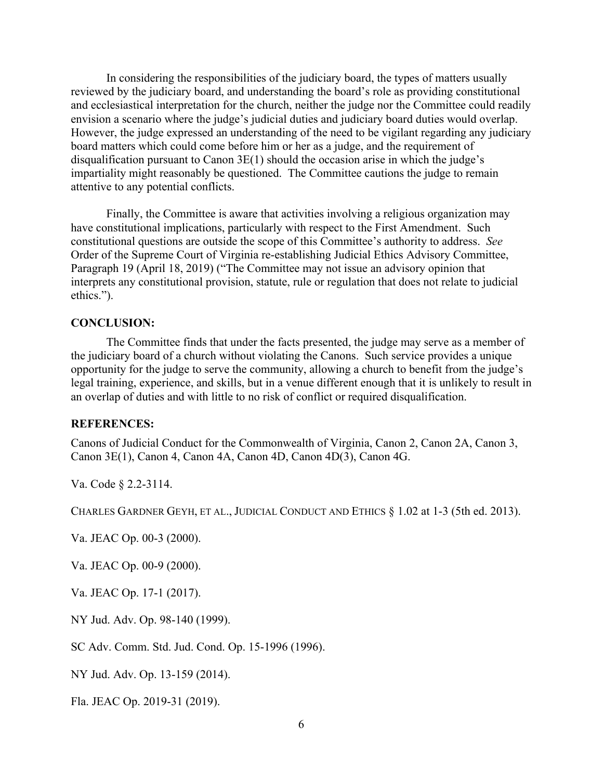In considering the responsibilities of the judiciary board, the types of matters usually reviewed by the judiciary board, and understanding the board's role as providing constitutional and ecclesiastical interpretation for the church, neither the judge nor the Committee could readily envision a scenario where the judge's judicial duties and judiciary board duties would overlap. However, the judge expressed an understanding of the need to be vigilant regarding any judiciary board matters which could come before him or her as a judge, and the requirement of disqualification pursuant to Canon 3E(1) should the occasion arise in which the judge's impartiality might reasonably be questioned. The Committee cautions the judge to remain attentive to any potential conflicts.

Finally, the Committee is aware that activities involving a religious organization may have constitutional implications, particularly with respect to the First Amendment. Such constitutional questions are outside the scope of this Committee's authority to address. *See*  Order of the Supreme Court of Virginia re-establishing Judicial Ethics Advisory Committee, Paragraph 19 (April 18, 2019) ("The Committee may not issue an advisory opinion that interprets any constitutional provision, statute, rule or regulation that does not relate to judicial ethics.").

#### **CONCLUSION:**

The Committee finds that under the facts presented, the judge may serve as a member of the judiciary board of a church without violating the Canons. Such service provides a unique opportunity for the judge to serve the community, allowing a church to benefit from the judge's legal training, experience, and skills, but in a venue different enough that it is unlikely to result in an overlap of duties and with little to no risk of conflict or required disqualification.

#### **REFERENCES:**

Canons of Judicial Conduct for the Commonwealth of Virginia, Canon 2, Canon 2A, Canon 3, Canon 3E(1), Canon 4, Canon 4A, Canon 4D, Canon 4D(3), Canon 4G.

Va. Code § 2.2-3114.

CHARLES GARDNER GEYH, ET AL., JUDICIAL CONDUCT AND ETHICS § 1.02 at 1-3 (5th ed. 2013).

Va. JEAC Op. 00-3 (2000).

Va. JEAC Op. 00-9 (2000).

Va. JEAC Op. 17-1 (2017).

NY Jud. Adv. Op. 98-140 (1999).

SC Adv. Comm. Std. Jud. Cond. Op. 15-1996 (1996).

NY Jud. Adv. Op. 13-159 (2014).

Fla. JEAC Op. 2019-31 (2019).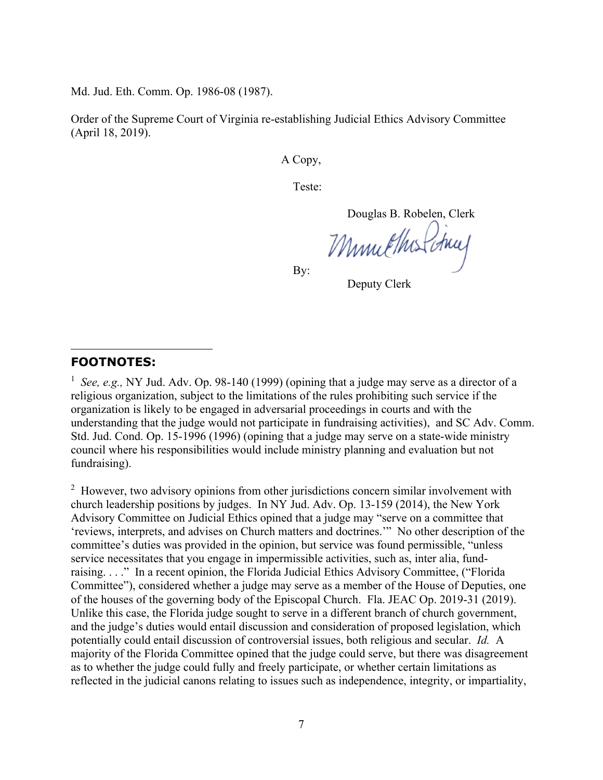Md. Jud. Eth. Comm. Op. 1986-08 (1987).

Order of the Supreme Court of Virginia re-establishing Judicial Ethics Advisory Committee (April 18, 2019).

A Copy,

Teste:

Douglas B. Robelen, Clerk

Munichus Chuy

By:

Deputy Clerk

### **FOOTNOTES:**

<sup>1</sup> See, e.g., NY Jud. Adv. Op. 98-140 (1999) (opining that a judge may serve as a director of a religious organization, subject to the limitations of the rules prohibiting such service if the organization is likely to be engaged in adversarial proceedings in courts and with the understanding that the judge would not participate in fundraising activities), and SC Adv. Comm. Std. Jud. Cond. Op. 15-1996 (1996) (opining that a judge may serve on a state-wide ministry council where his responsibilities would include ministry planning and evaluation but not fundraising).

 $2$  However, two advisory opinions from other jurisdictions concern similar involvement with church leadership positions by judges. In NY Jud. Adv. Op. 13-159 (2014), the New York Advisory Committee on Judicial Ethics opined that a judge may "serve on a committee that 'reviews, interprets, and advises on Church matters and doctrines.'" No other description of the committee's duties was provided in the opinion, but service was found permissible, "unless service necessitates that you engage in impermissible activities, such as, inter alia, fundraising. . . ." In a recent opinion, the Florida Judicial Ethics Advisory Committee, ("Florida Committee"), considered whether a judge may serve as a member of the House of Deputies, one of the houses of the governing body of the Episcopal Church. Fla. JEAC Op. 2019-31 (2019). Unlike this case, the Florida judge sought to serve in a different branch of church government, and the judge's duties would entail discussion and consideration of proposed legislation, which potentially could entail discussion of controversial issues, both religious and secular. *Id.* A majority of the Florida Committee opined that the judge could serve, but there was disagreement as to whether the judge could fully and freely participate, or whether certain limitations as reflected in the judicial canons relating to issues such as independence, integrity, or impartiality,